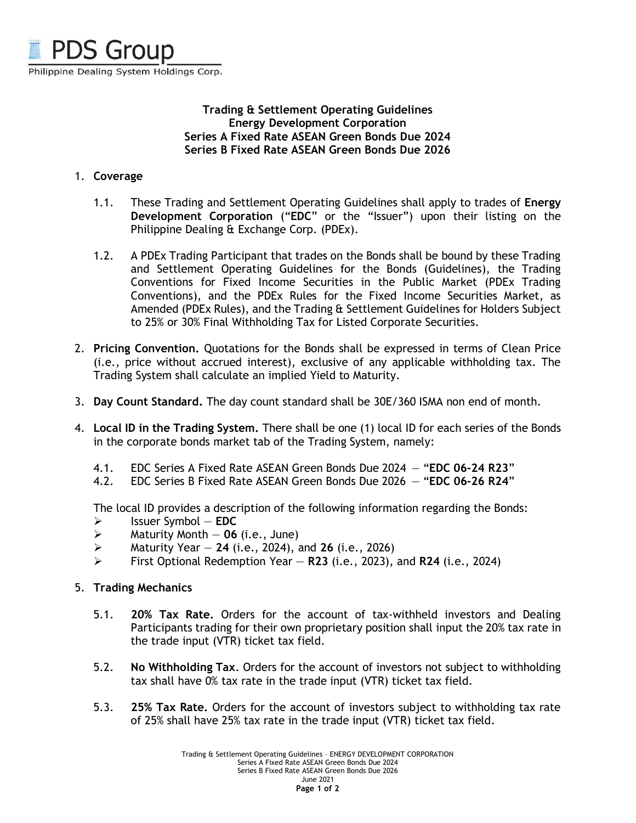

## **Trading & Settlement Operating Guidelines Energy Development Corporation Series A Fixed Rate ASEAN Green Bonds Due 2024 Series B Fixed Rate ASEAN Green Bonds Due 2026**

## 1. **Coverage**

- 1.1. These Trading and Settlement Operating Guidelines shall apply to trades of **Energy Development Corporation** ("**EDC**" or the "Issuer") upon their listing on the Philippine Dealing & Exchange Corp. (PDEx).
- 1.2. A PDEx Trading Participant that trades on the Bonds shall be bound by these Trading and Settlement Operating Guidelines for the Bonds (Guidelines), the Trading Conventions for Fixed Income Securities in the Public Market (PDEx Trading Conventions), and the PDEx Rules for the Fixed Income Securities Market, as Amended (PDEx Rules), and the Trading & Settlement Guidelines for Holders Subject to 25% or 30% Final Withholding Tax for Listed Corporate Securities.
- 2. **Pricing Convention.** Quotations for the Bonds shall be expressed in terms of Clean Price (i.e., price without accrued interest), exclusive of any applicable withholding tax. The Trading System shall calculate an implied Yield to Maturity.
- 3. **Day Count Standard.** The day count standard shall be 30E/360 ISMA non end of month.
- 4. **Local ID in the Trading System.** There shall be one (1) local ID for each series of the Bonds in the corporate bonds market tab of the Trading System, namely:
	- 4.1. EDC Series A Fixed Rate ASEAN Green Bonds Due 2024 "**EDC 06-24 R23**"
	- 4.2. EDC Series B Fixed Rate ASEAN Green Bonds Due 2026 "**EDC 06-26 R24**"

The local ID provides a description of the following information regarding the Bonds:

- ➢ Issuer Symbol **EDC**
- $\triangleright$  Maturity Month  $-$  06 (i.e., June)
- ➢ Maturity Year **24** (i.e., 2024), and **26** (i.e., 2026)
- ➢ First Optional Redemption Year **R23** (i.e., 2023), and **R24** (i.e., 2024)

## 5. **Trading Mechanics**

- 5.1. **20% Tax Rate.** Orders for the account of tax-withheld investors and Dealing Participants trading for their own proprietary position shall input the 20% tax rate in the trade input (VTR) ticket tax field.
- 5.2. **No Withholding Tax**. Orders for the account of investors not subject to withholding tax shall have 0% tax rate in the trade input (VTR) ticket tax field.
- 5.3. **25% Tax Rate.** Orders for the account of investors subject to withholding tax rate of 25% shall have 25% tax rate in the trade input (VTR) ticket tax field.